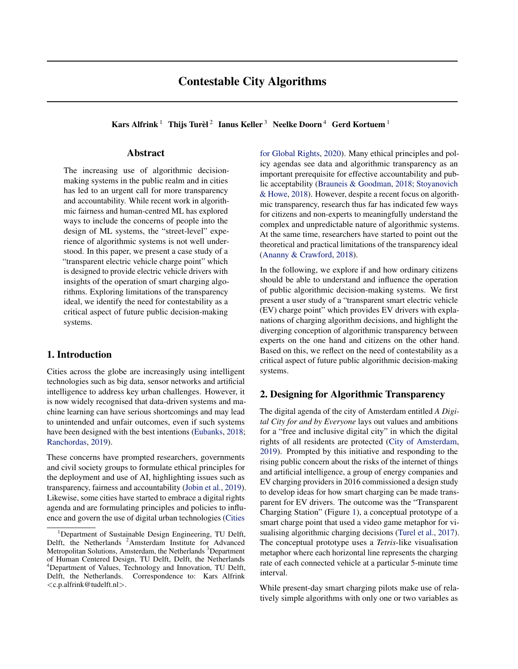# Contestable City Algorithms

Kars Alfrink  $^1$  Thijs Turèl  $^2$  Ianus Keller  $^3$  Neelke Doorn  $^4$  Gerd Kortuem  $^1$ 

#### Abstract

The increasing use of algorithmic decisionmaking systems in the public realm and in cities has led to an urgent call for more transparency and accountability. While recent work in algorithmic fairness and human-centred ML has explored ways to include the concerns of people into the design of ML systems, the "street-level" experience of algorithmic systems is not well understood. In this paper, we present a case study of a "transparent electric vehicle charge point" which is designed to provide electric vehicle drivers with insights of the operation of smart charging algorithms. Exploring limitations of the transparency ideal, we identify the need for contestability as a critical aspect of future public decision-making systems.

## 1. Introduction

Cities across the globe are increasingly using intelligent technologies such as big data, sensor networks and artificial intelligence to address key urban challenges. However, it is now widely recognised that data-driven systems and machine learning can have serious shortcomings and may lead to unintended and unfair outcomes, even if such systems have been designed with the best intentions [\(Eubanks,](#page-3-0) [2018;](#page-3-0) [Ranchordas,](#page-4-0) [2019\)](#page-4-0).

These concerns have prompted researchers, governments and civil society groups to formulate ethical principles for the deployment and use of AI, highlighting issues such as transparency, fairness and accountability [\(Jobin et al.,](#page-3-0) [2019\)](#page-3-0). Likewise, some cities have started to embrace a digital rights agenda and are formulating principles and policies to influence and govern the use of digital urban technologies [\(Cities](#page-3-0)

[for Global Rights,](#page-3-0) [2020\)](#page-3-0). Many ethical principles and policy agendas see data and algorithmic transparency as an important prerequisite for effective accountability and public acceptability [\(Brauneis & Goodman,](#page-3-0) [2018;](#page-3-0) [Stoyanovich](#page-4-0) [& Howe,](#page-4-0) [2018\)](#page-4-0). However, despite a recent focus on algorithmic transparency, research thus far has indicated few ways for citizens and non-experts to meaningfully understand the complex and unpredictable nature of algorithmic systems. At the same time, researchers have started to point out the theoretical and practical limitations of the transparency ideal [\(Ananny & Crawford,](#page-3-0) [2018\)](#page-3-0).

In the following, we explore if and how ordinary citizens should be able to understand and influence the operation of public algorithmic decision-making systems. We first present a user study of a "transparent smart electric vehicle (EV) charge point" which provides EV drivers with explanations of charging algorithm decisions, and highlight the diverging conception of algorithmic transparency between experts on the one hand and citizens on the other hand. Based on this, we reflect on the need of contestability as a critical aspect of future public algorithmic decision-making systems.

## 2. Designing for Algorithmic Transparency

The digital agenda of the city of Amsterdam entitled *A Digital City for and by Everyone* lays out values and ambitions for a "free and inclusive digital city" in which the digital rights of all residents are protected [\(City of Amsterdam,](#page-3-0) [2019\)](#page-3-0). Prompted by this initiative and responding to the rising public concern about the risks of the internet of things and artificial intelligence, a group of energy companies and EV charging providers in 2016 commissioned a design study to develop ideas for how smart charging can be made transparent for EV drivers. The outcome was the "Transparent Charging Station" (Figure [1\)](#page-1-0), a conceptual prototype of a smart charge point that used a video game metaphor for visualising algorithmic charging decisions [\(Turel et al.,](#page-4-0) [2017\)](#page-4-0). The conceptual prototype uses a *Tetris*-like visualisation metaphor where each horizontal line represents the charging rate of each connected vehicle at a particular 5-minute time interval.

While present-day smart charging pilots make use of relatively simple algorithms with only one or two variables as

<sup>&</sup>lt;sup>1</sup>[Department of Sustainable Design Engineering, TU Delft,](#page-3-0) Delft, the Netherlands <sup>2</sup>[Amsterdam Institute for Advanced](#page-3-0) [Metropolitan Solutions, Amsterdam, the Netherlands](#page-3-0) <sup>3</sup>Department [of Human Centered Design, TU Delft, Delft, the Netherlands](#page-3-0) <sup>4</sup>[Department of Values, Technology and Innovation, TU Delft,](#page-3-0) [Delft, the Netherlands. Correspondence to: Kars Alfrink](#page-3-0) <[c.p.alfrink@tudelft.nl](#page-3-0)>.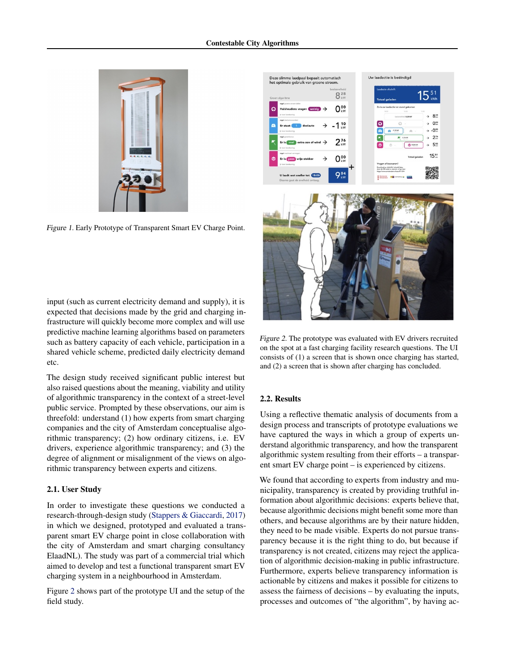<span id="page-1-0"></span>

Figure 1. Early Prototype of Transparent Smart EV Charge Point.

input (such as current electricity demand and supply), it is expected that decisions made by the grid and charging infrastructure will quickly become more complex and will use predictive machine learning algorithms based on parameters such as battery capacity of each vehicle, participation in a shared vehicle scheme, predicted daily electricity demand etc.

The design study received significant public interest but also raised questions about the meaning, viability and utility of algorithmic transparency in the context of a street-level public service. Prompted by these observations, our aim is threefold: understand (1) how experts from smart charging companies and the city of Amsterdam conceptualise algorithmic transparency; (2) how ordinary citizens, i.e. EV drivers, experience algorithmic transparency; and (3) the degree of alignment or misalignment of the views on algorithmic transparency between experts and citizens.

#### 2.1. User Study

In order to investigate these questions we conducted a research-through-design study [\(Stappers & Giaccardi,](#page-4-0) [2017\)](#page-4-0) in which we designed, prototyped and evaluated a transparent smart EV charge point in close collaboration with the city of Amsterdam and smart charging consultancy ElaadNL). The study was part of a commercial trial which aimed to develop and test a functional transparent smart EV charging system in a neighbourhood in Amsterdam.

Figure 2 shows part of the prototype UI and the setup of the field study.



Figure 2. The prototype was evaluated with EV drivers recruited on the spot at a fast charging facility research questions. The UI consists of (1) a screen that is shown once charging has started, and (2) a screen that is shown after charging has concluded.

#### 2.2. Results

Using a reflective thematic analysis of documents from a design process and transcripts of prototype evaluations we have captured the ways in which a group of experts understand algorithmic transparency, and how the transparent algorithmic system resulting from their efforts – a transparent smart EV charge point – is experienced by citizens.

We found that according to experts from industry and municipality, transparency is created by providing truthful information about algorithmic decisions: experts believe that, because algorithmic decisions might benefit some more than others, and because algorithms are by their nature hidden, they need to be made visible. Experts do not pursue transparency because it is the right thing to do, but because if transparency is not created, citizens may reject the application of algorithmic decision-making in public infrastructure. Furthermore, experts believe transparency information is actionable by citizens and makes it possible for citizens to assess the fairness of decisions – by evaluating the inputs, processes and outcomes of "the algorithm", by having ac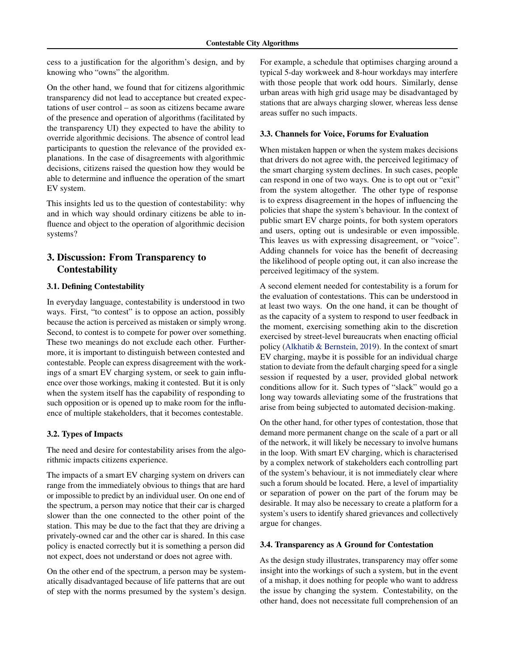cess to a justification for the algorithm's design, and by knowing who "owns" the algorithm.

On the other hand, we found that for citizens algorithmic transparency did not lead to acceptance but created expectations of user control – as soon as citizens became aware of the presence and operation of algorithms (facilitated by the transparency UI) they expected to have the ability to override algorithmic decisions. The absence of control lead participants to question the relevance of the provided explanations. In the case of disagreements with algorithmic decisions, citizens raised the question how they would be able to determine and influence the operation of the smart EV system.

This insights led us to the question of contestability: why and in which way should ordinary citizens be able to influence and object to the operation of algorithmic decision systems?

## 3. Discussion: From Transparency to Contestability

## 3.1. Defining Contestability

In everyday language, contestability is understood in two ways. First, "to contest" is to oppose an action, possibly because the action is perceived as mistaken or simply wrong. Second, to contest is to compete for power over something. These two meanings do not exclude each other. Furthermore, it is important to distinguish between contested and contestable. People can express disagreement with the workings of a smart EV charging system, or seek to gain influence over those workings, making it contested. But it is only when the system itself has the capability of responding to such opposition or is opened up to make room for the influence of multiple stakeholders, that it becomes contestable.

#### 3.2. Types of Impacts

The need and desire for contestability arises from the algorithmic impacts citizens experience.

The impacts of a smart EV charging system on drivers can range from the immediately obvious to things that are hard or impossible to predict by an individual user. On one end of the spectrum, a person may notice that their car is charged slower than the one connected to the other point of the station. This may be due to the fact that they are driving a privately-owned car and the other car is shared. In this case policy is enacted correctly but it is something a person did not expect, does not understand or does not agree with.

On the other end of the spectrum, a person may be systematically disadvantaged because of life patterns that are out of step with the norms presumed by the system's design. For example, a schedule that optimises charging around a typical 5-day workweek and 8-hour workdays may interfere with those people that work odd hours. Similarly, dense urban areas with high grid usage may be disadvantaged by stations that are always charging slower, whereas less dense areas suffer no such impacts.

## 3.3. Channels for Voice, Forums for Evaluation

When mistaken happen or when the system makes decisions that drivers do not agree with, the perceived legitimacy of the smart charging system declines. In such cases, people can respond in one of two ways. One is to opt out or "exit" from the system altogether. The other type of response is to express disagreement in the hopes of influencing the policies that shape the system's behaviour. In the context of public smart EV charge points, for both system operators and users, opting out is undesirable or even impossible. This leaves us with expressing disagreement, or "voice". Adding channels for voice has the benefit of decreasing the likelihood of people opting out, it can also increase the perceived legitimacy of the system.

A second element needed for contestability is a forum for the evaluation of contestations. This can be understood in at least two ways. On the one hand, it can be thought of as the capacity of a system to respond to user feedback in the moment, exercising something akin to the discretion exercised by street-level bureaucrats when enacting official policy [\(Alkhatib & Bernstein,](#page-3-0) [2019\)](#page-3-0). In the context of smart EV charging, maybe it is possible for an individual charge station to deviate from the default charging speed for a single session if requested by a user, provided global network conditions allow for it. Such types of "slack" would go a long way towards alleviating some of the frustrations that arise from being subjected to automated decision-making.

On the other hand, for other types of contestation, those that demand more permanent change on the scale of a part or all of the network, it will likely be necessary to involve humans in the loop. With smart EV charging, which is characterised by a complex network of stakeholders each controlling part of the system's behaviour, it is not immediately clear where such a forum should be located. Here, a level of impartiality or separation of power on the part of the forum may be desirable. It may also be necessary to create a platform for a system's users to identify shared grievances and collectively argue for changes.

#### 3.4. Transparency as A Ground for Contestation

As the design study illustrates, transparency may offer some insight into the workings of such a system, but in the event of a mishap, it does nothing for people who want to address the issue by changing the system. Contestability, on the other hand, does not necessitate full comprehension of an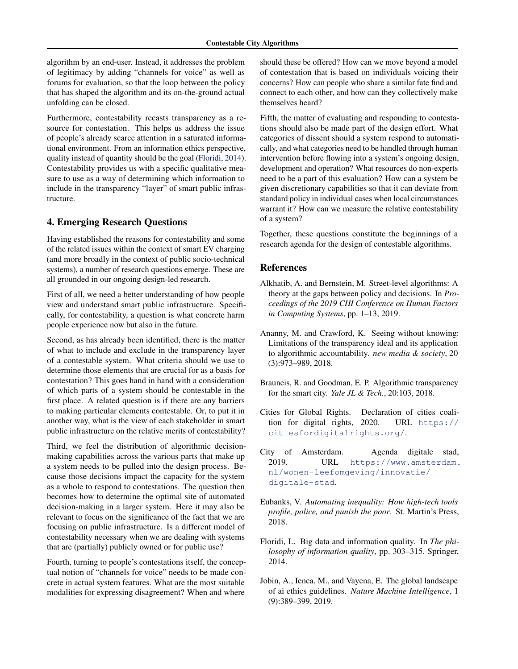<span id="page-3-0"></span>algorithm by an end-user. Instead, it addresses the problem of legitimacy by adding "channels for voice" as well as forums for evaluation, so that the loop between the policy that has shaped the algorithm and its on-the-ground actual unfolding can be closed.

Furthermore, contestability recasts transparency as a resource for contestation. This helps us address the issue of people's already scarce attention in a saturated informational environment. From an information ethics perspective, quality instead of quantity should be the goal (Floridi, 2014). Contestability provides us with a specific qualitative measure to use as a way of determining which information to include in the transparency "layer" of smart public infrastructure.

## 4. Emerging Research Questions

Having established the reasons for contestability and some of the related issues within the context of smart EV charging (and more broadly in the context of public socio-technical systems), a number of research questions emerge. These are all grounded in our ongoing design-led research.

First of all, we need a better understanding of how people view and understand smart public infrastructure. Specifically, for contestability, a question is what concrete harm people experience now but also in the future.

Second, as has already been identified, there is the matter of what to include and exclude in the transparency layer of a contestable system. What criteria should we use to determine those elements that are crucial for as a basis for contestation? This goes hand in hand with a consideration of which parts of a system should be contestable in the first place. A related question is if there are any barriers to making particular elements contestable. Or, to put it in another way, what is the view of each stakeholder in smart public infrastructure on the relative merits of contestability?

Third, we feel the distribution of algorithmic decisionmaking capabilities across the various parts that make up a system needs to be pulled into the design process. Because those decisions impact the capacity for the system as a whole to respond to contestations. The question then becomes how to determine the optimal site of automated decision-making in a larger system. Here it may also be relevant to focus on the significance of the fact that we are focusing on public infrastructure. Is a different model of contestability necessary when we are dealing with systems that are (partially) publicly owned or for public use?

Fourth, turning to people's contestations itself, the conceptual notion of "channels for voice" needs to be made concrete in actual system features. What are the most suitable modalities for expressing disagreement? When and where

should these be offered? How can we move beyond a model of contestation that is based on individuals voicing their concerns? How can people who share a similar fate find and connect to each other, and how can they collectively make themselves heard?

Fifth, the matter of evaluating and responding to contestations should also be made part of the design effort. What categories of dissent should a system respond to automatically, and what categories need to be handled through human intervention before flowing into a system's ongoing design, development and operation? What resources do non-experts need to be a part of this evaluation? How can a system be given discretionary capabilities so that it can deviate from standard policy in individual cases when local circumstances warrant it? How can we measure the relative contestability of a system?

Together, these questions constitute the beginnings of a research agenda for the design of contestable algorithms.

#### References

- Alkhatib, A. and Bernstein, M. Street-level algorithms: A theory at the gaps between policy and decisions. In *Proceedings of the 2019 CHI Conference on Human Factors in Computing Systems*, pp. 1–13, 2019.
- Ananny, M. and Crawford, K. Seeing without knowing: Limitations of the transparency ideal and its application to algorithmic accountability. *new media & society*, 20 (3):973–989, 2018.
- Brauneis, R. and Goodman, E. P. Algorithmic transparency for the smart city. *Yale JL & Tech.*, 20:103, 2018.
- Cities for Global Rights. Declaration of cities coalition for digital rights, 2020. URL [https://](https://citiesfordigitalrights.org/) [citiesfordigitalrights.org/](https://citiesfordigitalrights.org/).
- City of Amsterdam. Agenda digitale stad, 2019. URL [https://www.amsterdam.](https://www.amsterdam.nl/wonen-leefomgeving/innovatie/digitale-stad) [nl/wonen-leefomgeving/innovatie/](https://www.amsterdam.nl/wonen-leefomgeving/innovatie/digitale-stad) [digitale-stad](https://www.amsterdam.nl/wonen-leefomgeving/innovatie/digitale-stad).
- Eubanks, V. *Automating inequality: How high-tech tools profile, police, and punish the poor*. St. Martin's Press, 2018.
- Floridi, L. Big data and information quality. In *The philosophy of information quality*, pp. 303–315. Springer, 2014.
- Jobin, A., Ienca, M., and Vayena, E. The global landscape of ai ethics guidelines. *Nature Machine Intelligence*, 1 (9):389–399, 2019.